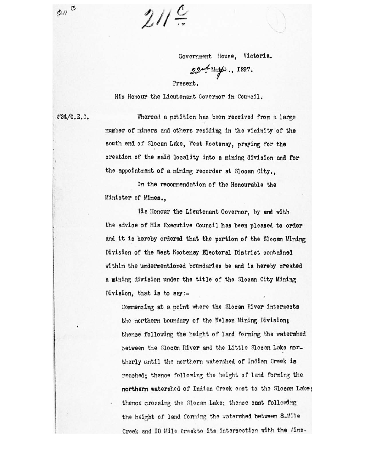$21$ 

 $21 \frac{c}{a}$ 

Government House, Victoria.

 $22<sup>nd</sup>$  May: ... 1897.

Present.

His Honour the Lieutenant Governor in Council.

#24/C.E. C. Wheread a petition has been received from a large number of miners and others residing in the vicinity of the south end of Slocan Lake, West Kootenay, praying for the creation of the said locality into a mining division and for the appointment of a mining recorder at Slooan **City.,** 

> On the recommendation of the Honourable the Minister of Mines.,

His Honour the Lieutenant Governor, by and with the advice of His Executive Council has been pleased to order and it is hereby ordered that the portion of the Slocan Mining Division of the West Kootenay Electoral District contained within the undermentioned boundaries be and is hereby created a mining division under the title of the Slocan City Mining Division, that is to say:-

Commencing at a point where the Slocan River intersects the northern boundary of the Nelson Mining Division; thence following the height of land forming the watershed between the Slocan River and the Little Slocan Lake northerly until the northern watershed of Indian Creek is reached; thence following the height, of land forming the **northern** watershed of Indian Creek east to the Slocan Lake; thence crossing the Slocan Lake; thence east following the height of land forming the watershed between 8-Mile Creek and IO Mile Creekto its intersection with the Ains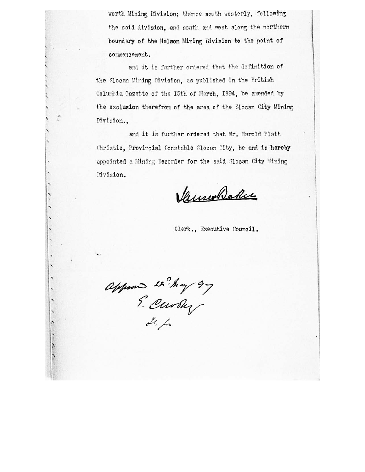worth Mining Division; thence south westerly, following the said division, and south and west along the northern boundary of the Nelson Mining Division to the point of commencement.

and it is further ordered that the definition of the Slocan Mining Division, as published in the British Columbia Gazette of the I5th of March, 1894, be amended by the exclusion therefrom of the area of the Slocan City Mining Division.,

and it is further ordered that Mr. Harold Platt Christie, Provincial Constable Slocan City, be and is hereby appointed a Mining Recorder for the said Slocan City Mining Division.

Vanwholes

Clerk., Executive Council.

appear 22 May 97

 $\frac{1}{2}$